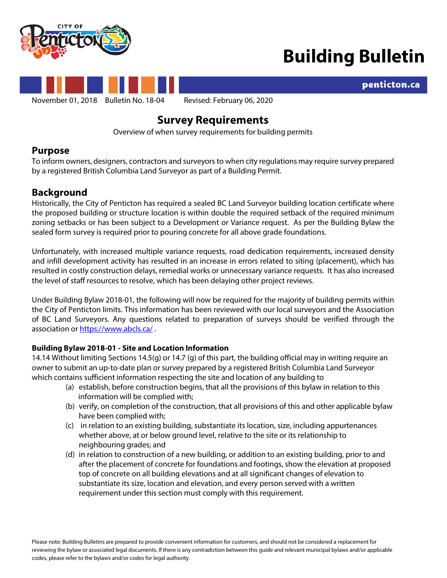



penticton.ca



# **Survey Requirements**

Overview of when survey requirements for building permits

### **Purpose**

To inform owners, designers, contractors and surveyorsto when city regulations may require survey prepared by a registered British Columbia Land Surveyor as part of a Building Permit.

## **Background**

Historically, the City of Penticton has required a sealed BC Land Surveyor building location certificate where the proposed building or structure location is within double the required setback of the required minimum zoning setbacks or has been subject to a Development or Variance request. As per the Building Bylaw the sealed form survey is required prior to pouring concrete for all above grade foundations.

Unfortunately, with increased multiple variance requests, road dedication requirements, increased density and infill development activity has resulted in an increase in errors related to siting (placement), which has resulted in costly construction delays, remedial works or unnecessary variance requests. It has also increased the level of staff resources to resolve, which has been delaying other project reviews.

Under Building Bylaw 2018-01, the following will now be required for the majority of building permits within the City of Penticton limits. This information has been reviewed with our local surveyors and the Association of BC Land Surveyors. Any questions related to preparation of surveys should be verified through the association or<https://www.abcls.ca/>.

### **Building Bylaw 2018-01 - Site and Location Information**

14.14 Without limiting Sections 14.5(g) or 14.7 (g) of this part, the building official may in writing require an owner to submit an up-to-date plan or survey prepared by a registered British Columbia Land Surveyor which contains sufficient information respecting the site and location of any building to

- (a) establish, before construction begins, that all the provisions of this bylaw in relation to this information will be complied with;
- (b) verify, on completion of the construction, that all provisions of this and other applicable bylaw have been complied with;
- (c) in relation to an existing building, substantiate its location, size, including appurtenances whether above, at or below ground level, relative to the site or its relationship to neighbouring grades; and
- (d) in relation to construction of a new building, or addition to an existing building, prior to and after the placement of concrete for foundations and footings, show the elevation at proposed top of concrete on all building elevations and at all significant changes of elevation to substantiate its size, location and elevation, and every person served with a written requirement under this section must comply with this requirement.